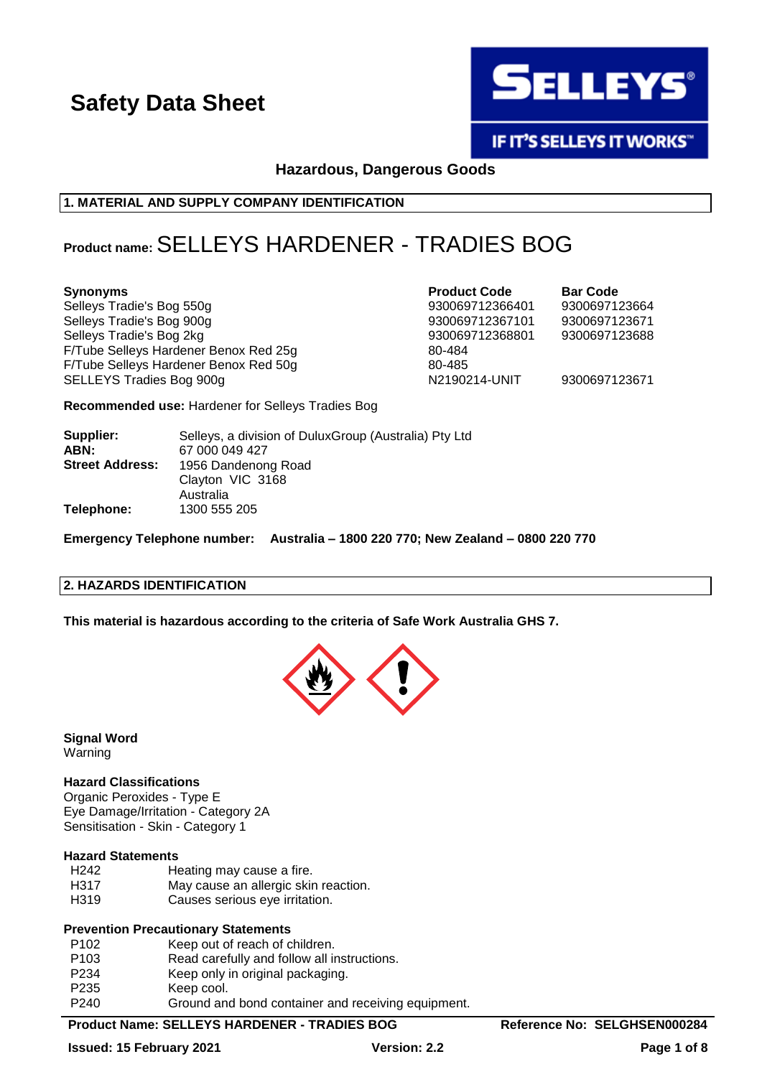

IF IT'S SELLEYS IT WORKS"

**Hazardous, Dangerous Goods**

**1. MATERIAL AND SUPPLY COMPANY IDENTIFICATION**

# **Product name:**SELLEYS HARDENER - TRADIES BOG

| <b>Synonyms</b>                       | <b>Product Code</b> | <b>Bar Code</b> |
|---------------------------------------|---------------------|-----------------|
| Selleys Tradie's Bog 550g             | 930069712366401     | 9300697123664   |
| Selleys Tradie's Bog 900g             | 930069712367101     | 9300697123671   |
| Selleys Tradie's Bog 2kg              | 930069712368801     | 9300697123688   |
| F/Tube Selleys Hardener Benox Red 25g | 80-484              |                 |
| F/Tube Selleys Hardener Benox Red 50g | 80-485              |                 |
| SELLEYS Tradies Bog 900g              | N2190214-UNIT       | 9300697123671   |

**Recommended use:** Hardener for Selleys Tradies Bog

| Supplier:<br>ABN:      | Selleys, a division of Dulux Group (Australia) Pty Ltd<br>67 000 049 427 |
|------------------------|--------------------------------------------------------------------------|
| <b>Street Address:</b> | 1956 Dandenong Road<br>Clayton VIC 3168<br>Australia                     |
| Telephone:             | 1300 555 205                                                             |

**Emergency Telephone number: Australia – 1800 220 770; New Zealand – 0800 220 770**

## **2. HAZARDS IDENTIFICATION**

**This material is hazardous according to the criteria of Safe Work Australia GHS 7.**



**Signal Word** Warning

# **Hazard Classifications**

Organic Peroxides - Type E Eye Damage/Irritation - Category 2A Sensitisation - Skin - Category 1

# **Hazard Statements**

| H242 | Heating may cause a fire.            |
|------|--------------------------------------|
| H317 | May cause an allergic skin reaction. |
| H319 | Causes serious eye irritation.       |

## **Prevention Precautionary Statements**

| P <sub>102</sub>  | Keep out of reach of children.                     |
|-------------------|----------------------------------------------------|
| P <sub>103</sub>  | Read carefully and follow all instructions.        |
| P <sub>2</sub> 34 | Keep only in original packaging.                   |
| P <sub>235</sub>  | Keep cool.                                         |
| P <sub>240</sub>  | Ground and bond container and receiving equipment. |
|                   |                                                    |

## **Product Name: SELLEYS HARDENER - TRADIES BOG Reference No: SELGHSEN000284**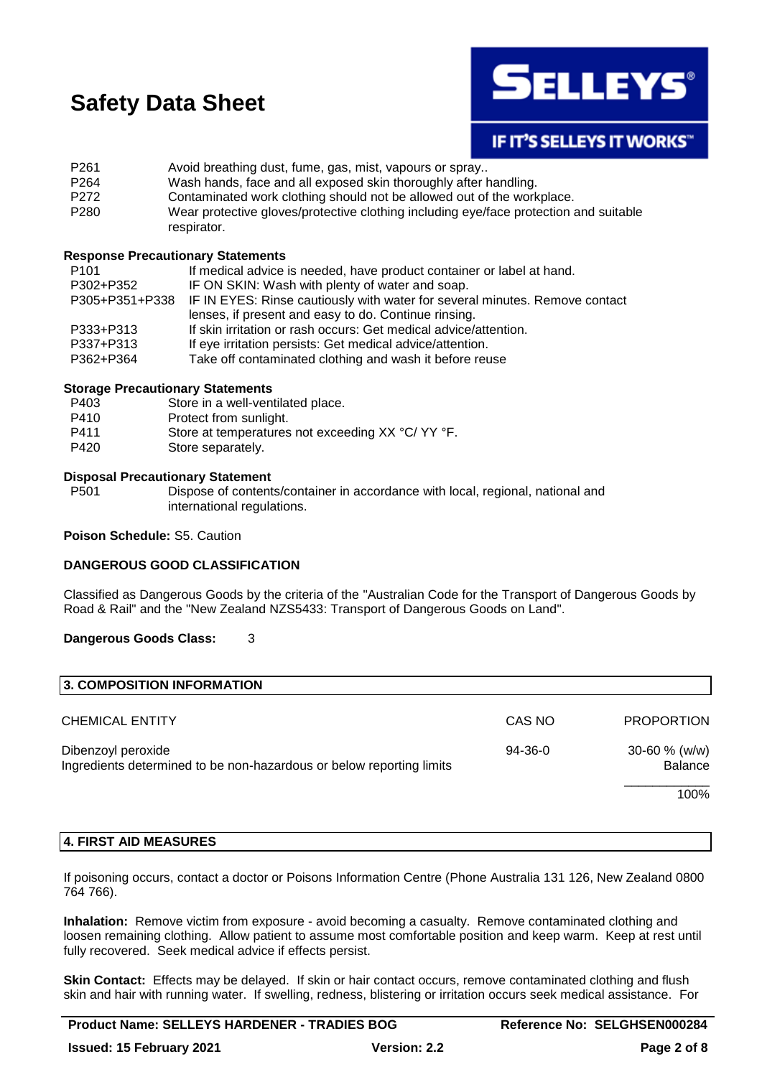

**IF IT'S SELLEYS IT WORKS"** 

P261 Avoid breathing dust, fume, gas, mist, vapours or spray.. P264 Wash hands, face and all exposed skin thoroughly after handling. P272 Contaminated work clothing should not be allowed out of the workplace. P280 Wear protective gloves/protective clothing including eye/face protection and suitable respirator.

### **Response Precautionary Statements**

| If medical advice is needed, have product container or label at hand.                      |
|--------------------------------------------------------------------------------------------|
| IF ON SKIN: Wash with plenty of water and soap.                                            |
| P305+P351+P338 IF IN EYES: Rinse cautiously with water for several minutes. Remove contact |
| lenses, if present and easy to do. Continue rinsing.                                       |
| If skin irritation or rash occurs: Get medical advice/attention.                           |
| If eye irritation persists: Get medical advice/attention.                                  |
| Take off contaminated clothing and wash it before reuse                                    |
|                                                                                            |

### **Storage Precautionary Statements**

| P403             | Store in a well-ventilated place.         |
|------------------|-------------------------------------------|
| P410             | Protect from sunlight.                    |
| D <sub>444</sub> | Store at temperatures not exceeding YV °C |

- P411 Store at temperatures not exceeding XX °C/ YY °F.
- P420 Store separately.

### **Disposal Precautionary Statement**

P501 Dispose of contents/container in accordance with local, regional, national and international regulations.

### **Poison Schedule:** S5. Caution

## **DANGEROUS GOOD CLASSIFICATION**

Classified as Dangerous Goods by the criteria of the "Australian Code for the Transport of Dangerous Goods by Road & Rail" and the "New Zealand NZS5433: Transport of Dangerous Goods on Land".

## **Dangerous Goods Class:** 3

| 3. COMPOSITION INFORMATION                                                                 |           |                               |
|--------------------------------------------------------------------------------------------|-----------|-------------------------------|
| <b>CHEMICAL ENTITY</b>                                                                     | CAS NO    | <b>PROPORTION</b>             |
| Dibenzoyl peroxide<br>Ingredients determined to be non-hazardous or below reporting limits | $94-36-0$ | $30 - 60 \%$ (w/w)<br>Balance |
|                                                                                            |           | 100%                          |

### **4. FIRST AID MEASURES**

If poisoning occurs, contact a doctor or Poisons Information Centre (Phone Australia 131 126, New Zealand 0800 764 766).

**Inhalation:** Remove victim from exposure - avoid becoming a casualty. Remove contaminated clothing and loosen remaining clothing. Allow patient to assume most comfortable position and keep warm. Keep at rest until fully recovered. Seek medical advice if effects persist.

**Skin Contact:** Effects may be delayed. If skin or hair contact occurs, remove contaminated clothing and flush skin and hair with running water. If swelling, redness, blistering or irritation occurs seek medical assistance. For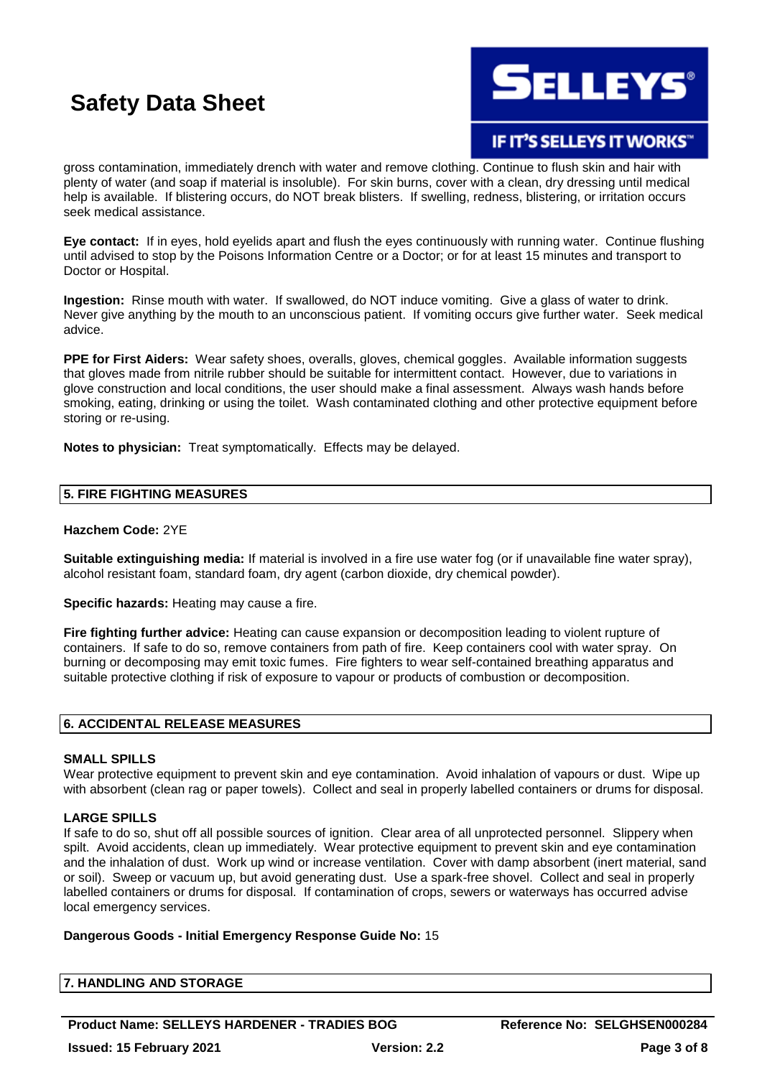

IF IT'S SELLEYS IT WORKS"

gross contamination, immediately drench with water and remove clothing. Continue to flush skin and hair with plenty of water (and soap if material is insoluble). For skin burns, cover with a clean, dry dressing until medical help is available. If blistering occurs, do NOT break blisters. If swelling, redness, blistering, or irritation occurs seek medical assistance.

**Eye contact:** If in eyes, hold eyelids apart and flush the eyes continuously with running water. Continue flushing until advised to stop by the Poisons Information Centre or a Doctor; or for at least 15 minutes and transport to Doctor or Hospital.

**Ingestion:** Rinse mouth with water. If swallowed, do NOT induce vomiting. Give a glass of water to drink. Never give anything by the mouth to an unconscious patient. If vomiting occurs give further water. Seek medical advice.

**PPE for First Aiders:** Wear safety shoes, overalls, gloves, chemical goggles. Available information suggests that gloves made from nitrile rubber should be suitable for intermittent contact. However, due to variations in glove construction and local conditions, the user should make a final assessment. Always wash hands before smoking, eating, drinking or using the toilet. Wash contaminated clothing and other protective equipment before storing or re-using.

**Notes to physician:** Treat symptomatically. Effects may be delayed.

## **5. FIRE FIGHTING MEASURES**

## **Hazchem Code:** 2YE

**Suitable extinguishing media:** If material is involved in a fire use water fog (or if unavailable fine water spray), alcohol resistant foam, standard foam, dry agent (carbon dioxide, dry chemical powder).

**Specific hazards:** Heating may cause a fire.

**Fire fighting further advice:** Heating can cause expansion or decomposition leading to violent rupture of containers. If safe to do so, remove containers from path of fire. Keep containers cool with water spray. On burning or decomposing may emit toxic fumes. Fire fighters to wear self-contained breathing apparatus and suitable protective clothing if risk of exposure to vapour or products of combustion or decomposition.

### **6. ACCIDENTAL RELEASE MEASURES**

### **SMALL SPILLS**

Wear protective equipment to prevent skin and eye contamination. Avoid inhalation of vapours or dust. Wipe up with absorbent (clean rag or paper towels). Collect and seal in properly labelled containers or drums for disposal.

## **LARGE SPILLS**

If safe to do so, shut off all possible sources of ignition. Clear area of all unprotected personnel. Slippery when spilt. Avoid accidents, clean up immediately. Wear protective equipment to prevent skin and eye contamination and the inhalation of dust. Work up wind or increase ventilation. Cover with damp absorbent (inert material, sand or soil). Sweep or vacuum up, but avoid generating dust. Use a spark-free shovel. Collect and seal in properly labelled containers or drums for disposal. If contamination of crops, sewers or waterways has occurred advise local emergency services.

## **Dangerous Goods - Initial Emergency Response Guide No:** 15

| 7. HANDLING AND STORAGE |  |
|-------------------------|--|
|                         |  |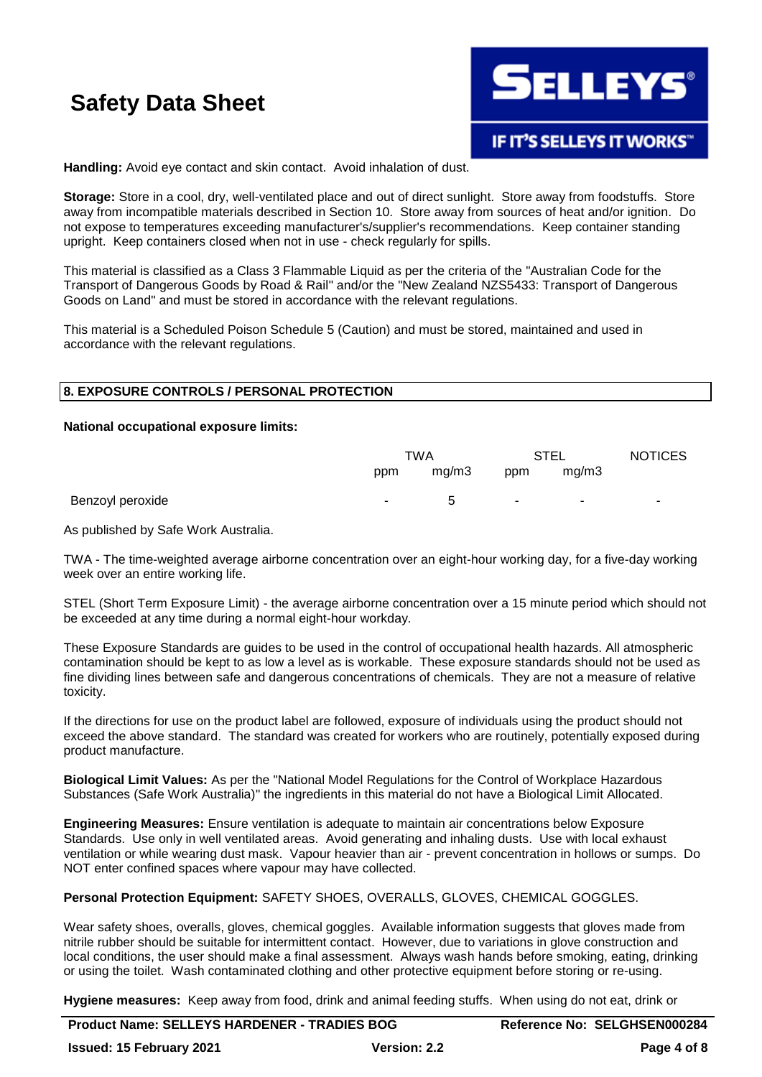

**Handling:** Avoid eye contact and skin contact. Avoid inhalation of dust.

**Storage:** Store in a cool, dry, well-ventilated place and out of direct sunlight. Store away from foodstuffs. Store away from incompatible materials described in Section 10. Store away from sources of heat and/or ignition. Do not expose to temperatures exceeding manufacturer's/supplier's recommendations. Keep container standing upright. Keep containers closed when not in use - check regularly for spills.

This material is classified as a Class 3 Flammable Liquid as per the criteria of the "Australian Code for the Transport of Dangerous Goods by Road & Rail" and/or the "New Zealand NZS5433: Transport of Dangerous Goods on Land" and must be stored in accordance with the relevant regulations.

This material is a Scheduled Poison Schedule 5 (Caution) and must be stored, maintained and used in accordance with the relevant regulations.

## **8. EXPOSURE CONTROLS / PERSONAL PROTECTION**

### **National occupational exposure limits:**

|                  | TWA    |              | STEL                     |       | <b>NOTICES</b> |
|------------------|--------|--------------|--------------------------|-------|----------------|
|                  | ppm    | mg/m3        | ppm                      | mq/m3 |                |
| Benzoyl peroxide | $\sim$ | <sup>5</sup> | $\overline{\phantom{a}}$ | ۰.    | $\sim$         |

As published by Safe Work Australia.

TWA - The time-weighted average airborne concentration over an eight-hour working day, for a five-day working week over an entire working life.

STEL (Short Term Exposure Limit) - the average airborne concentration over a 15 minute period which should not be exceeded at any time during a normal eight-hour workday.

These Exposure Standards are guides to be used in the control of occupational health hazards. All atmospheric contamination should be kept to as low a level as is workable. These exposure standards should not be used as fine dividing lines between safe and dangerous concentrations of chemicals. They are not a measure of relative toxicity.

If the directions for use on the product label are followed, exposure of individuals using the product should not exceed the above standard. The standard was created for workers who are routinely, potentially exposed during product manufacture.

**Biological Limit Values:** As per the "National Model Regulations for the Control of Workplace Hazardous Substances (Safe Work Australia)" the ingredients in this material do not have a Biological Limit Allocated.

**Engineering Measures:** Ensure ventilation is adequate to maintain air concentrations below Exposure Standards. Use only in well ventilated areas. Avoid generating and inhaling dusts. Use with local exhaust ventilation or while wearing dust mask. Vapour heavier than air - prevent concentration in hollows or sumps. Do NOT enter confined spaces where vapour may have collected.

**Personal Protection Equipment:** SAFETY SHOES, OVERALLS, GLOVES, CHEMICAL GOGGLES.

Wear safety shoes, overalls, gloves, chemical goggles. Available information suggests that gloves made from nitrile rubber should be suitable for intermittent contact. However, due to variations in glove construction and local conditions, the user should make a final assessment. Always wash hands before smoking, eating, drinking or using the toilet. Wash contaminated clothing and other protective equipment before storing or re-using.

**Hygiene measures:** Keep away from food, drink and animal feeding stuffs. When using do not eat, drink or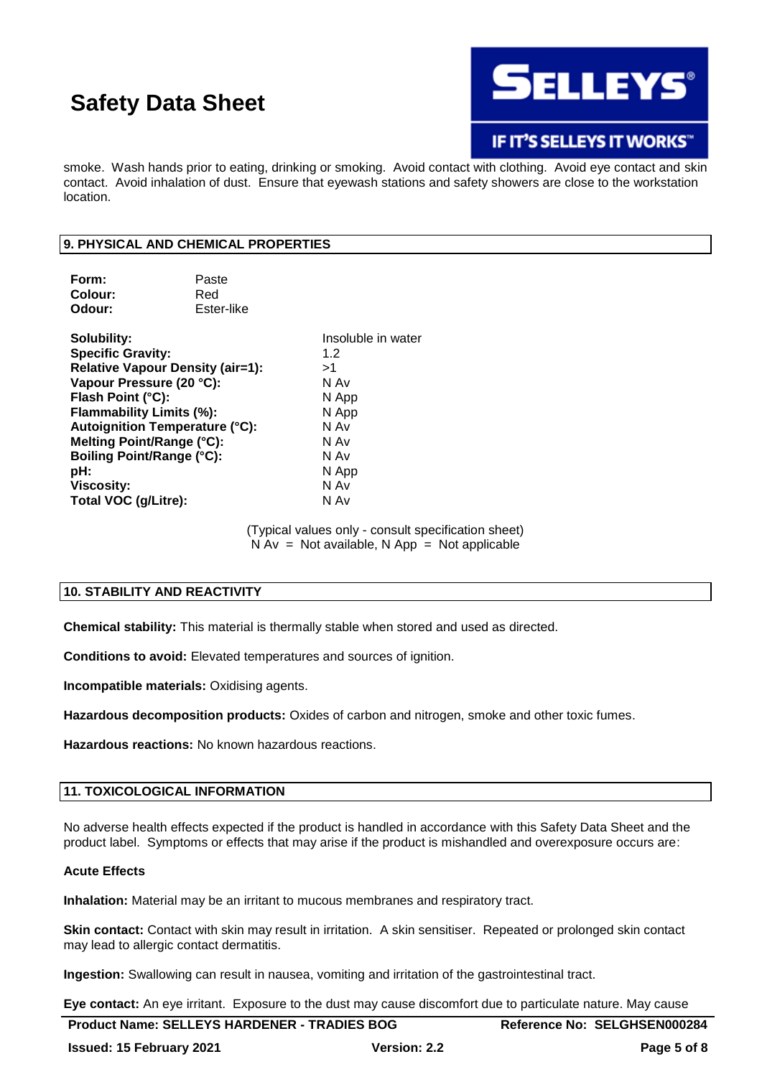

# **IF IT'S SELLEYS IT WORKS"**

smoke. Wash hands prior to eating, drinking or smoking. Avoid contact with clothing. Avoid eye contact and skin contact. Avoid inhalation of dust. Ensure that eyewash stations and safety showers are close to the workstation location.

### **9. PHYSICAL AND CHEMICAL PROPERTIES**

| Form:                                   | Paste      |     |
|-----------------------------------------|------------|-----|
| Colour:                                 | Red        |     |
| Odour:                                  | Ester-like |     |
| Solubility:                             |            | Ins |
| <b>Specific Gravity:</b>                |            | 1.2 |
| <b>Relative Vapour Density (air=1):</b> | >1∶        |     |

**Insoluble in water Vapour Pressure (20 °C):** N Av **Flash Point (°C):** N App **Flammability Limits (%):** N App **Autoignition Temperature (°C):** N Av **Melting Point/Range (°C):** N Av **Boiling Point/Range (°C):** N Av **pH:** N App **Viscosity:** N Av **Total VOC (g/Litre):** N Av

> (Typical values only - consult specification sheet)  $N Av = Not available, N App = Not applicable$

## **10. STABILITY AND REACTIVITY**

**Chemical stability:** This material is thermally stable when stored and used as directed.

**Conditions to avoid:** Elevated temperatures and sources of ignition.

**Incompatible materials:** Oxidising agents.

**Hazardous decomposition products:** Oxides of carbon and nitrogen, smoke and other toxic fumes.

**Hazardous reactions:** No known hazardous reactions.

# **11. TOXICOLOGICAL INFORMATION**

No adverse health effects expected if the product is handled in accordance with this Safety Data Sheet and the product label. Symptoms or effects that may arise if the product is mishandled and overexposure occurs are:

### **Acute Effects**

**Inhalation:** Material may be an irritant to mucous membranes and respiratory tract.

**Skin contact:** Contact with skin may result in irritation. A skin sensitiser. Repeated or prolonged skin contact may lead to allergic contact dermatitis.

**Ingestion:** Swallowing can result in nausea, vomiting and irritation of the gastrointestinal tract.

**Eye contact:** An eye irritant. Exposure to the dust may cause discomfort due to particulate nature. May cause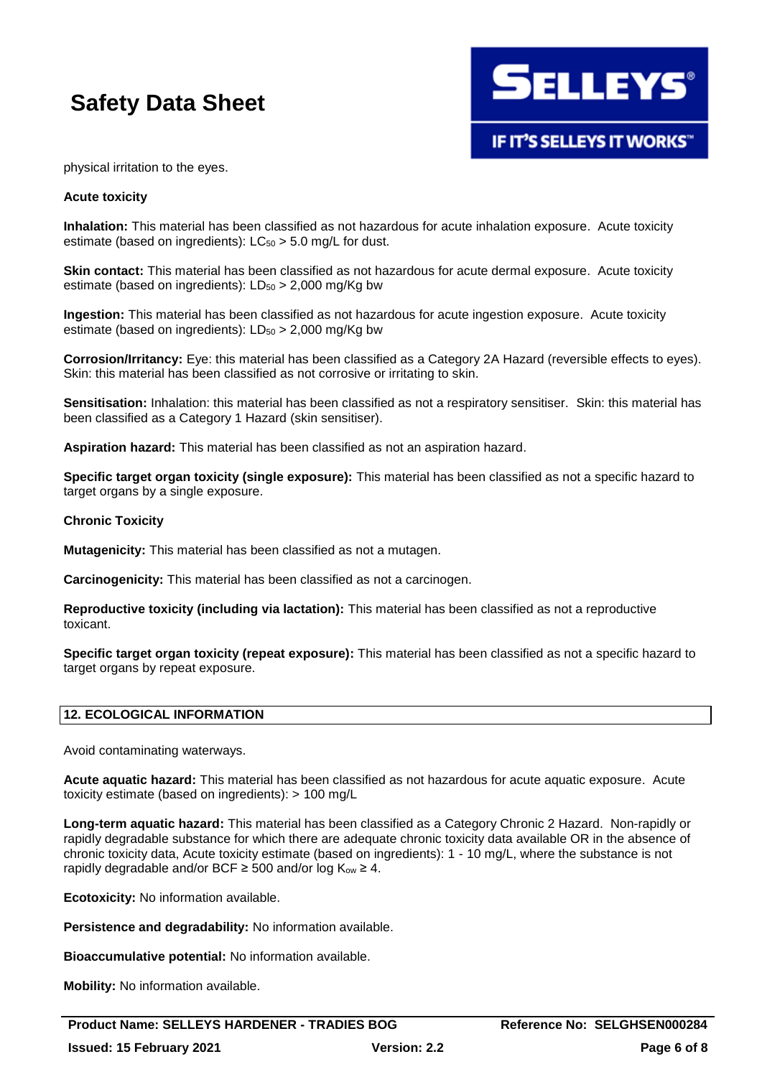

physical irritation to the eyes.

### **Acute toxicity**

**Inhalation:** This material has been classified as not hazardous for acute inhalation exposure. Acute toxicity estimate (based on ingredients):  $LC_{50} > 5.0$  mg/L for dust.

**Skin contact:** This material has been classified as not hazardous for acute dermal exposure. Acute toxicity estimate (based on ingredients):  $LD_{50} > 2,000$  mg/Kg bw

**Ingestion:** This material has been classified as not hazardous for acute ingestion exposure. Acute toxicity estimate (based on ingredients):  $LD_{50} > 2,000$  mg/Kg bw

**Corrosion/Irritancy:** Eye: this material has been classified as a Category 2A Hazard (reversible effects to eyes). Skin: this material has been classified as not corrosive or irritating to skin.

**Sensitisation:** Inhalation: this material has been classified as not a respiratory sensitiser. Skin: this material has been classified as a Category 1 Hazard (skin sensitiser).

**Aspiration hazard:** This material has been classified as not an aspiration hazard.

**Specific target organ toxicity (single exposure):** This material has been classified as not a specific hazard to target organs by a single exposure.

### **Chronic Toxicity**

**Mutagenicity:** This material has been classified as not a mutagen.

**Carcinogenicity:** This material has been classified as not a carcinogen.

**Reproductive toxicity (including via lactation):** This material has been classified as not a reproductive toxicant.

**Specific target organ toxicity (repeat exposure):** This material has been classified as not a specific hazard to target organs by repeat exposure.

## **12. ECOLOGICAL INFORMATION**

Avoid contaminating waterways.

**Acute aquatic hazard:** This material has been classified as not hazardous for acute aquatic exposure. Acute toxicity estimate (based on ingredients): > 100 mg/L

**Long-term aquatic hazard:** This material has been classified as a Category Chronic 2 Hazard. Non-rapidly or rapidly degradable substance for which there are adequate chronic toxicity data available OR in the absence of chronic toxicity data, Acute toxicity estimate (based on ingredients): 1 - 10 mg/L, where the substance is not rapidly degradable and/or BCF  $\geq$  500 and/or log K<sub>ow</sub>  $\geq$  4.

**Ecotoxicity:** No information available.

**Persistence and degradability:** No information available.

**Bioaccumulative potential:** No information available.

**Mobility:** No information available.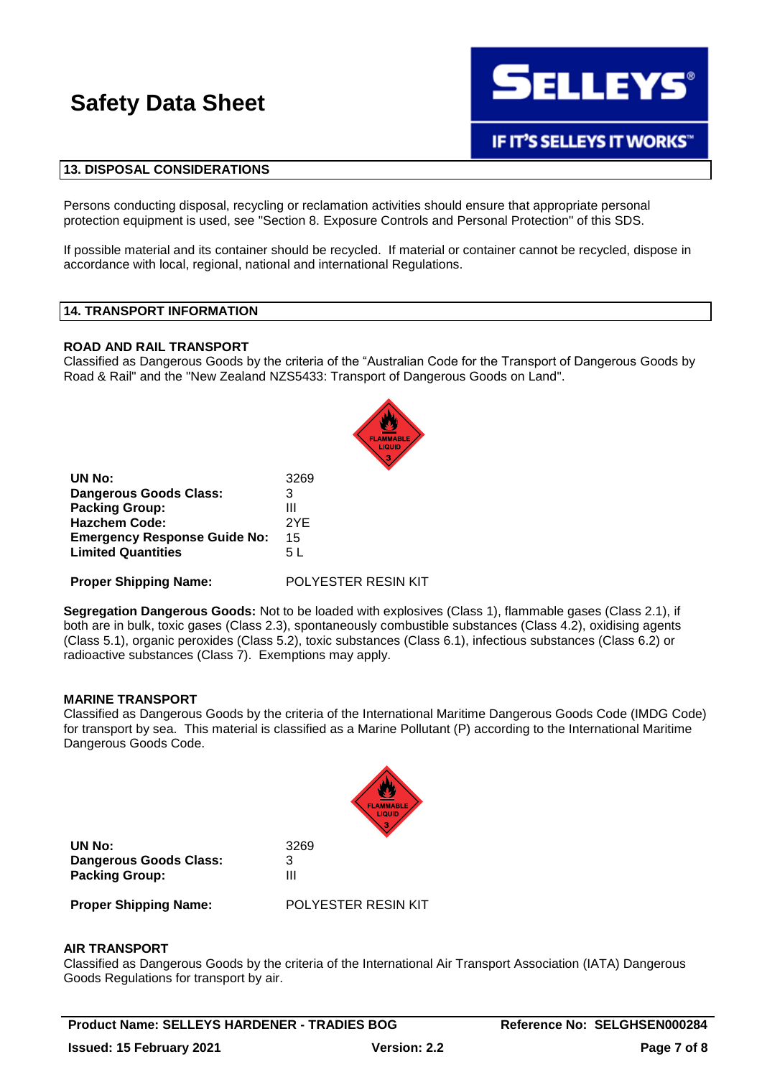

## **13. DISPOSAL CONSIDERATIONS**

Persons conducting disposal, recycling or reclamation activities should ensure that appropriate personal protection equipment is used, see "Section 8. Exposure Controls and Personal Protection" of this SDS.

If possible material and its container should be recycled. If material or container cannot be recycled, dispose in accordance with local, regional, national and international Regulations.

#### **14. TRANSPORT INFORMATION**

### **ROAD AND RAIL TRANSPORT**

Classified as Dangerous Goods by the criteria of the "Australian Code for the Transport of Dangerous Goods by Road & Rail" and the "New Zealand NZS5433: Transport of Dangerous Goods on Land".

|                                     | LIQUID              |
|-------------------------------------|---------------------|
| UN No:                              | 3269                |
| <b>Dangerous Goods Class:</b>       | 3                   |
| <b>Packing Group:</b>               | Ш                   |
| <b>Hazchem Code:</b>                | 2YE                 |
| <b>Emergency Response Guide No:</b> | 15                  |
| <b>Limited Quantities</b>           | 5 L                 |
| <b>Proper Shipping Name:</b>        | POLYESTER RESIN KIT |

**Segregation Dangerous Goods:** Not to be loaded with explosives (Class 1), flammable gases (Class 2.1), if both are in bulk, toxic gases (Class 2.3), spontaneously combustible substances (Class 4.2), oxidising agents (Class 5.1), organic peroxides (Class 5.2), toxic substances (Class 6.1), infectious substances (Class 6.2) or radioactive substances (Class 7). Exemptions may apply.

### **MARINE TRANSPORT**

Classified as Dangerous Goods by the criteria of the International Maritime Dangerous Goods Code (IMDG Code) for transport by sea. This material is classified as a Marine Pollutant (P) according to the International Maritime Dangerous Goods Code.



**UN No:** 3269 **Dangerous Goods Class:** 3 **Packing Group:** III

**Proper Shipping Name:** POLYESTER RESIN KIT

#### **AIR TRANSPORT**

Classified as Dangerous Goods by the criteria of the International Air Transport Association (IATA) Dangerous Goods Regulations for transport by air.

**Product Name: SELLEYS HARDENER - TRADIES BOG Reference No: SELGHSEN000284 Issued: 15 February 2021 Version: 2.2 Page 7 of 8**